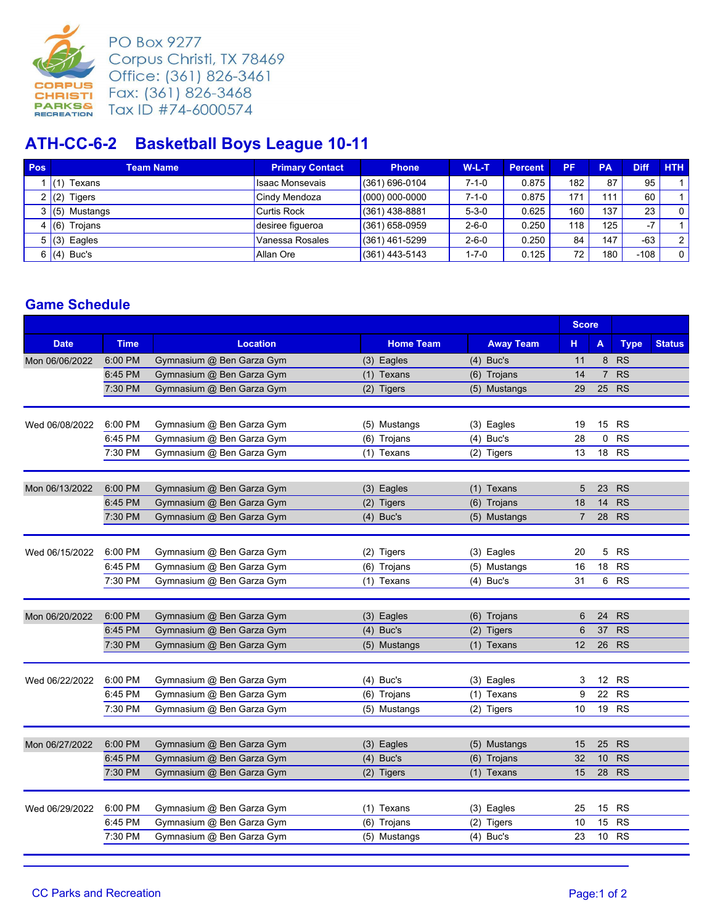

**PO Box 9277** Corpus Christi, TX 78469 Office: (361) 826-3461 Fax: (361) 826-3468 Tax ID #74-6000574

## **ATH-CC-6-2 Basketball Boys League 10-11**

| <b>Pos</b> | <b>Team Name</b> | <b>Primary Contact</b> | <b>Phone</b>       | $W-L-T$     | <b>Percent</b> | PF               | PA  | <b>Diff</b> | <b>HTH</b>     |
|------------|------------------|------------------------|--------------------|-------------|----------------|------------------|-----|-------------|----------------|
|            | Texans           | <b>Isaac Monsevais</b> | $(361)$ 696-0104   | $7 - 1 - 0$ | 0.875          | 182.             | 87  | 95          |                |
|            | $(2)$ Tigers     | Cindy Mendoza          | $(000) 000 - 0000$ | $7 - 1 - 0$ | 0.875          | 171              | 111 | 60          |                |
|            | 3(5)<br>Mustangs | Curtis Rock            | $(361)$ 438-8881   | $5 - 3 - 0$ | 0.625          | 160              | 137 | 23          | $\overline{0}$ |
|            | Troians<br>(6)   | desiree figueroa       | $(361)$ 658-0959   | $2 - 6 - 0$ | 0.250          | 118 <sub>1</sub> | 125 | $-7$        |                |
|            | $5(3)$ Eagles    | Vanessa Rosales        | $(361)$ 461-5299   | $2 - 6 - 0$ | 0.250          | 84               | 147 | $-63$       | 2 <sup>1</sup> |
| 6          | $(4)$ Buc's      | Allan Ore              | $(361)$ 443-5143   | 1-7-0       | 0.125          | 72               | 180 | $-108$      | $\overline{0}$ |

## **Game Schedule**

|                |                    |                                                        |                  |                  | <b>Score</b>   |                       |                        |               |
|----------------|--------------------|--------------------------------------------------------|------------------|------------------|----------------|-----------------------|------------------------|---------------|
| <b>Date</b>    | <b>Time</b>        | <b>Location</b>                                        | <b>Home Team</b> | <b>Away Team</b> | н.             | A                     | <b>Type</b>            | <b>Status</b> |
| Mon 06/06/2022 | 6:00 PM            | Gymnasium @ Ben Garza Gym                              | $(3)$ Eagles     | $(4)$ Buc's      | 11             | 8                     | <b>RS</b>              |               |
|                | 6:45 PM            | Gymnasium @ Ben Garza Gym                              | (1) Texans       | (6) Trojans      | 14             | $\overline{7}$        | <b>RS</b>              |               |
|                | 7:30 PM            | Gymnasium @ Ben Garza Gym                              | (2) Tigers       | (5) Mustangs     | 29             | 25                    | <b>RS</b>              |               |
| Wed 06/08/2022 | 6:00 PM            | Gymnasium @ Ben Garza Gym                              | (5) Mustangs     | $(3)$ Eagles     | 19             | 15                    | <b>RS</b>              |               |
|                | 6:45 PM            | Gymnasium @ Ben Garza Gym                              | (6) Trojans      | $(4)$ Buc's      | 28             | 0                     | <b>RS</b>              |               |
|                | 7:30 PM            | Gymnasium @ Ben Garza Gym                              | (1) Texans       | (2) Tigers       | 13             | 18                    | <b>RS</b>              |               |
| Mon 06/13/2022 | 6:00 PM            | Gymnasium @ Ben Garza Gym                              | (3) Eagles       | (1) Texans       | 5              | 23                    | <b>RS</b>              |               |
|                | 6:45 PM            | Gymnasium @ Ben Garza Gym                              | $(2)$ Tigers     | (6) Trojans      | 18             | 14                    | <b>RS</b>              |               |
|                | 7:30 PM            | Gymnasium @ Ben Garza Gym                              | $(4)$ Buc's      | (5) Mustangs     | $\overline{7}$ | 28                    | <b>RS</b>              |               |
| Wed 06/15/2022 | 6:00 PM            | Gymnasium @ Ben Garza Gym                              | (2) Tigers       | $(3)$ Eagles     | 20             | 5                     | <b>RS</b>              |               |
|                | 6:45 PM            | Gymnasium @ Ben Garza Gym                              | (6) Trojans      | (5) Mustangs     | 16             | 18                    | <b>RS</b>              |               |
|                | 7:30 PM            | Gymnasium @ Ben Garza Gym                              | (1) Texans       | $(4)$ Buc's      | 31             | 6                     | <b>RS</b>              |               |
| Mon 06/20/2022 | 6:00 PM            | Gymnasium @ Ben Garza Gym                              | (3) Eagles       | (6) Trojans      | 6              | 24                    | <b>RS</b>              |               |
|                | 6:45 PM            | Gymnasium @ Ben Garza Gym                              | Buc's<br>(4)     | (2) Tigers       | 6              | 37                    | <b>RS</b>              |               |
|                | 7:30 PM            | Gymnasium @ Ben Garza Gym                              | (5) Mustangs     | (1) Texans       | 12             | 26                    | <b>RS</b>              |               |
| Wed 06/22/2022 | 6:00 PM            | Gymnasium @ Ben Garza Gym                              | $(4)$ Buc's      | (3) Eagles       | 3              | 12 <sup>12</sup>      | <b>RS</b>              |               |
|                | 6:45 PM            | Gymnasium @ Ben Garza Gym                              | (6) Trojans      | $(1)$ Texans     | 9              | 22                    | <b>RS</b>              |               |
|                | 7:30 PM            | Gymnasium @ Ben Garza Gym                              | (5) Mustangs     | $(2)$ Tigers     | 10             | 19                    | <b>RS</b>              |               |
| Mon 06/27/2022 | 6:00 PM            | Gymnasium @ Ben Garza Gym                              | Eagles<br>(3)    | (5) Mustangs     | 15             | 25                    | <b>RS</b>              |               |
|                | 6:45 PM            | Gymnasium @ Ben Garza Gym                              | $(4)$ Buc's      | (6) Trojans      | 32             | 10                    | <b>RS</b>              |               |
|                | 7:30 PM            | Gymnasium @ Ben Garza Gym                              | (2) Tigers       | (1) Texans       | 15             | 28                    | <b>RS</b>              |               |
|                |                    |                                                        |                  |                  |                |                       |                        |               |
| Wed 06/29/2022 | 6:00 PM<br>6:45 PM | Gymnasium @ Ben Garza Gym                              | (1) Texans       | (3) Eagles       | 25             | 15                    | <b>RS</b>              |               |
|                | 7:30 PM            | Gymnasium @ Ben Garza Gym<br>Gymnasium @ Ben Garza Gym | (6) Trojans      | (2) Tigers       | 10             | 15<br>10 <sup>1</sup> | <b>RS</b><br><b>RS</b> |               |
|                |                    |                                                        | (5) Mustangs     | $(4)$ Buc's      | 23             |                       |                        |               |